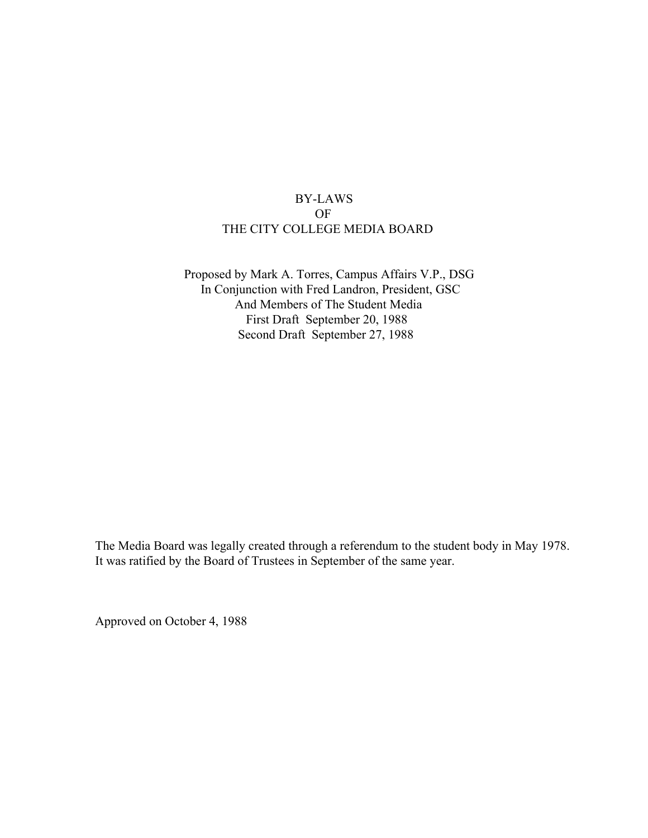### BY-LAWS OF THE CITY COLLEGE MEDIA BOARD

Proposed by Mark A. Torres, Campus Affairs V.P., DSG In Conjunction with Fred Landron, President, GSC And Members of The Student Media First Draft September 20, 1988 Second Draft September 27, 1988

The Media Board was legally created through a referendum to the student body in May 1978. It was ratified by the Board of Trustees in September of the same year.

Approved on October 4, 1988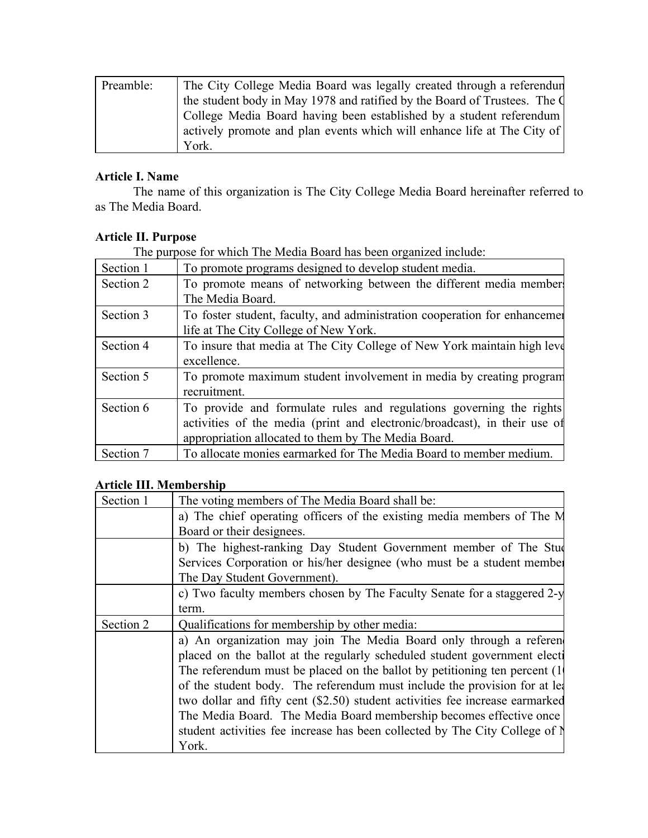| Preamble: | The City College Media Board was legally created through a referendur     |
|-----------|---------------------------------------------------------------------------|
|           | the student body in May 1978 and ratified by the Board of Trustees. The Q |
|           | College Media Board having been established by a student referendum       |
|           | actively promote and plan events which will enhance life at The City of   |
|           | York.                                                                     |

## **Article I. Name**

The name of this organization is The City College Media Board hereinafter referred to as The Media Board.

# **Article II. Purpose**

The purpose for which The Media Board has been organized include:

| Section 1 | To promote programs designed to develop student media.                                                                                                                                                  |
|-----------|---------------------------------------------------------------------------------------------------------------------------------------------------------------------------------------------------------|
| Section 2 | To promote means of networking between the different media member                                                                                                                                       |
|           | The Media Board.                                                                                                                                                                                        |
| Section 3 | To foster student, faculty, and administration cooperation for enhancement<br>life at The City College of New York.                                                                                     |
| Section 4 | To insure that media at The City College of New York maintain high leve<br>excellence.                                                                                                                  |
| Section 5 | To promote maximum student involvement in media by creating program<br>recruitment.                                                                                                                     |
| Section 6 | To provide and formulate rules and regulations governing the rights<br>activities of the media (print and electronic/broadcast), in their use of<br>appropriation allocated to them by The Media Board. |
| Section 7 | To allocate monies earmarked for The Media Board to member medium.                                                                                                                                      |

### **Article III. Membership**

| Section 1 | The voting members of The Media Board shall be:                              |
|-----------|------------------------------------------------------------------------------|
|           | a) The chief operating officers of the existing media members of The M       |
|           | Board or their designees.                                                    |
|           | b) The highest-ranking Day Student Government member of The Student          |
|           | Services Corporation or his/her designee (who must be a student member       |
|           | The Day Student Government).                                                 |
|           | c) Two faculty members chosen by The Faculty Senate for a staggered 2-y      |
|           | term.                                                                        |
| Section 2 | Qualifications for membership by other media:                                |
|           | a) An organization may join The Media Board only through a referent          |
|           | placed on the ballot at the regularly scheduled student government elect     |
|           | The referendum must be placed on the ballot by petitioning ten percent (1)   |
|           | of the student body. The referendum must include the provision for at lea    |
|           | two dollar and fifty cent (\$2.50) student activities fee increase earmarked |
|           | The Media Board. The Media Board membership becomes effective once           |
|           | student activities fee increase has been collected by The City College of N  |
|           | York.                                                                        |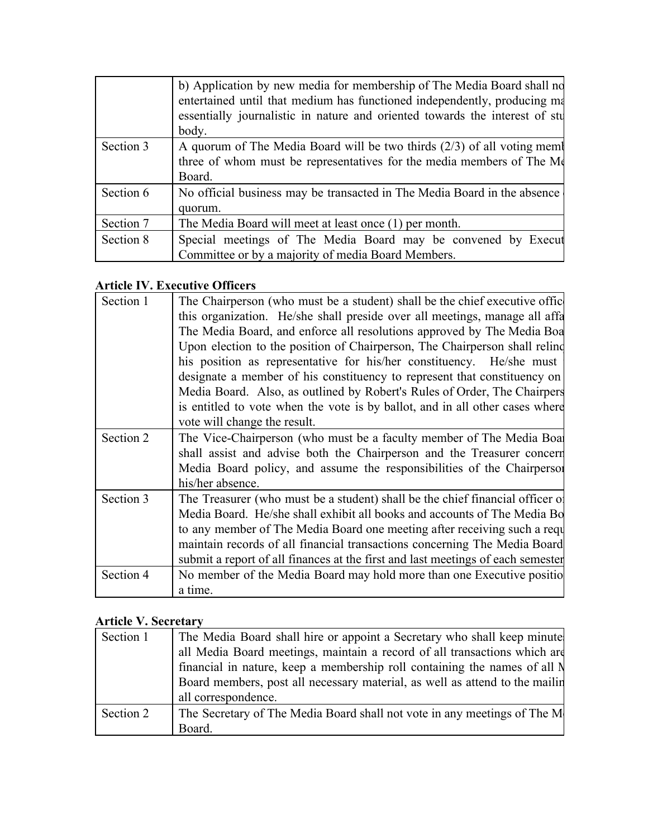|           | b) Application by new media for membership of The Media Board shall no<br>entertained until that medium has functioned independently, producing ma<br>essentially journalistic in nature and oriented towards the interest of stu<br>body. |
|-----------|--------------------------------------------------------------------------------------------------------------------------------------------------------------------------------------------------------------------------------------------|
| Section 3 | A quorum of The Media Board will be two thirds $(2/3)$ of all voting mem<br>three of whom must be representatives for the media members of The Me<br>Board.                                                                                |
| Section 6 | No official business may be transacted in The Media Board in the absence<br>quorum.                                                                                                                                                        |
| Section 7 | The Media Board will meet at least once (1) per month.                                                                                                                                                                                     |
| Section 8 | Special meetings of The Media Board may be convened by Execut<br>Committee or by a majority of media Board Members.                                                                                                                        |

# **Article IV. Executive Officers**

| Section 1 | The Chairperson (who must be a student) shall be the chief executive offic      |
|-----------|---------------------------------------------------------------------------------|
|           | this organization. He/she shall preside over all meetings, manage all affa      |
|           | The Media Board, and enforce all resolutions approved by The Media Boa          |
|           | Upon election to the position of Chairperson, The Chairperson shall relind      |
|           | his position as representative for his/her constituency. He/she must            |
|           | designate a member of his constituency to represent that constituency on        |
|           | Media Board. Also, as outlined by Robert's Rules of Order, The Chairpers        |
|           | is entitled to vote when the vote is by ballot, and in all other cases where    |
|           | vote will change the result.                                                    |
| Section 2 | The Vice-Chairperson (who must be a faculty member of The Media Boat            |
|           | shall assist and advise both the Chairperson and the Treasurer concern          |
|           | Media Board policy, and assume the responsibilities of the Chairperson          |
|           | his/her absence.                                                                |
| Section 3 | The Treasurer (who must be a student) shall be the chief financial officer of   |
|           | Media Board. He/she shall exhibit all books and accounts of The Media Bo        |
|           | to any member of The Media Board one meeting after receiving such a requ        |
|           | maintain records of all financial transactions concerning The Media Board       |
|           | submit a report of all finances at the first and last meetings of each semester |
| Section 4 | No member of the Media Board may hold more than one Executive positio           |
|           | a time.                                                                         |

# **Article V. Secretary**

| Section 1 | The Media Board shall hire or appoint a Secretary who shall keep minute      |
|-----------|------------------------------------------------------------------------------|
|           | all Media Board meetings, maintain a record of all transactions which are    |
|           | financial in nature, keep a membership roll containing the names of all N    |
|           | Board members, post all necessary material, as well as attend to the mailing |
|           | all correspondence.                                                          |
| Section 2 | The Secretary of The Media Board shall not vote in any meetings of The M     |
|           | Board.                                                                       |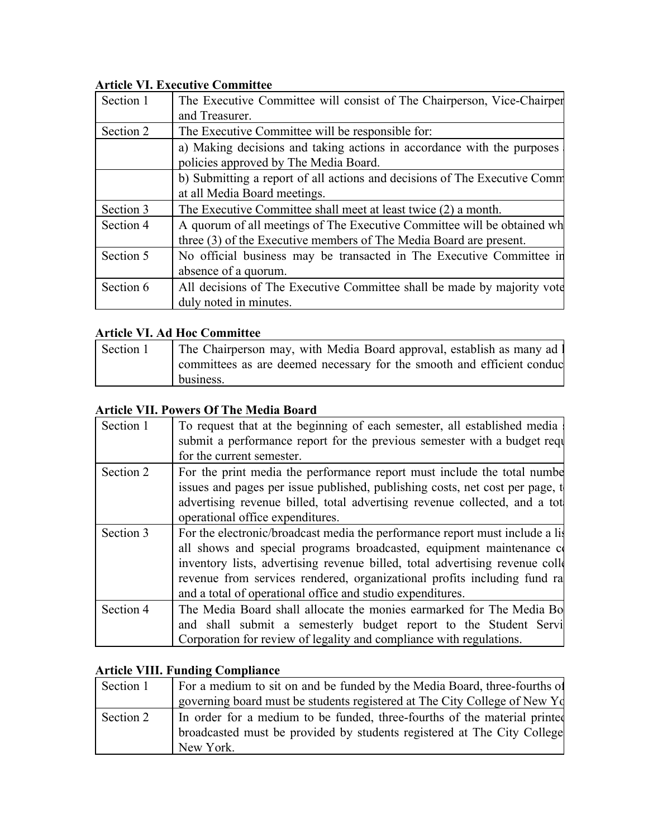# **Article VI. Executive Committee**

| Section 1 | The Executive Committee will consist of The Chairperson, Vice-Chairper<br>and Treasurer.                                                      |
|-----------|-----------------------------------------------------------------------------------------------------------------------------------------------|
| Section 2 | The Executive Committee will be responsible for:                                                                                              |
|           | a) Making decisions and taking actions in accordance with the purposes<br>policies approved by The Media Board.                               |
|           | b) Submitting a report of all actions and decisions of The Executive Comm<br>at all Media Board meetings.                                     |
| Section 3 | The Executive Committee shall meet at least twice (2) a month.                                                                                |
| Section 4 | A quorum of all meetings of The Executive Committee will be obtained wh<br>three (3) of the Executive members of The Media Board are present. |
| Section 5 | No official business may be transacted in The Executive Committee in<br>absence of a quorum.                                                  |
| Section 6 | All decisions of The Executive Committee shall be made by majority vote<br>duly noted in minutes.                                             |

### **Article VI. Ad Hoc Committee**

| Section 1 | The Chairperson may, with Media Board approval, establish as many ad l  |
|-----------|-------------------------------------------------------------------------|
|           | committees as are deemed necessary for the smooth and efficient conduct |
|           | business.                                                               |

# **Article VII. Powers Of The Media Board**

| Section 1 | To request that at the beginning of each semester, all established media<br>submit a performance report for the previous semester with a budget requ<br>for the current semester.                                                                                                                                                                                                   |
|-----------|-------------------------------------------------------------------------------------------------------------------------------------------------------------------------------------------------------------------------------------------------------------------------------------------------------------------------------------------------------------------------------------|
| Section 2 | For the print media the performance report must include the total number<br>issues and pages per issue published, publishing costs, net cost per page, t<br>advertising revenue billed, total advertising revenue collected, and a tot<br>operational office expenditures.                                                                                                          |
| Section 3 | For the electronic/broadcast media the performance report must include a list<br>all shows and special programs broadcasted, equipment maintenance c<br>inventory lists, advertising revenue billed, total advertising revenue collection<br>revenue from services rendered, organizational profits including fund ra<br>and a total of operational office and studio expenditures. |
| Section 4 | The Media Board shall allocate the monies earmarked for The Media Bo<br>and shall submit a semesterly budget report to the Student Servi<br>Corporation for review of legality and compliance with regulations.                                                                                                                                                                     |

# **Article VIII. Funding Compliance**

| Section 1 | For a medium to sit on and be funded by the Media Board, three-fourths of |
|-----------|---------------------------------------------------------------------------|
|           | governing board must be students registered at The City College of New Yd |
| Section 2 | In order for a medium to be funded, three-fourths of the material printed |
|           | broadcasted must be provided by students registered at The City College   |
|           | New York.                                                                 |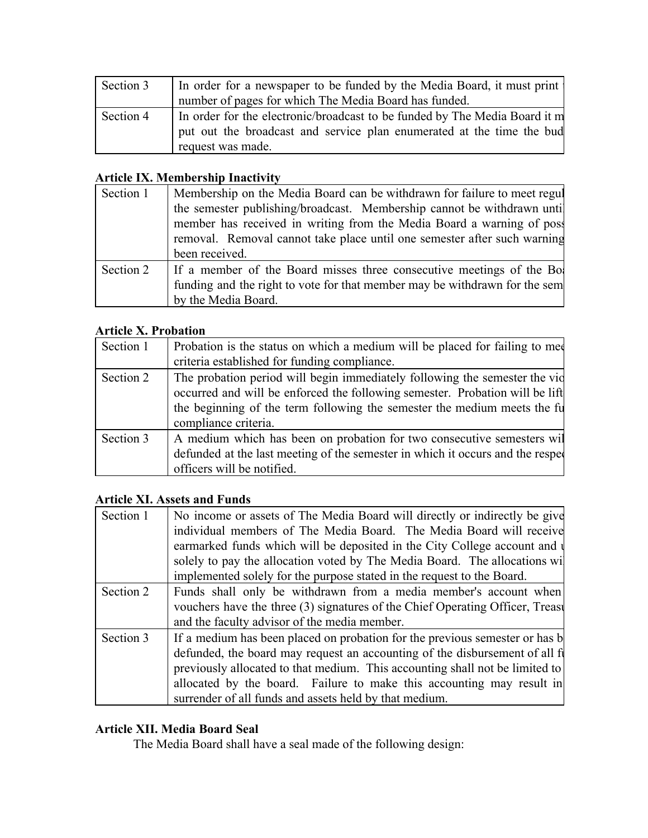| Section 3 | In order for a newspaper to be funded by the Media Board, it must print    |
|-----------|----------------------------------------------------------------------------|
|           | number of pages for which The Media Board has funded.                      |
| Section 4 | In order for the electronic/broadcast to be funded by The Media Board it m |
|           | put out the broadcast and service plan enumerated at the time the bud      |
|           | request was made.                                                          |

# **Article IX. Membership Inactivity**

| Section 1 | Membership on the Media Board can be withdrawn for failure to meet regul<br>the semester publishing/broadcast. Membership cannot be withdrawn until<br>member has received in writing from the Media Board a warning of post<br>removal. Removal cannot take place until one semester after such warning<br>been received. |
|-----------|----------------------------------------------------------------------------------------------------------------------------------------------------------------------------------------------------------------------------------------------------------------------------------------------------------------------------|
| Section 2 | If a member of the Board misses three consecutive meetings of the Bo<br>funding and the right to vote for that member may be withdrawn for the sem<br>by the Media Board.                                                                                                                                                  |

## **Article X. Probation**

| Section 1 | Probation is the status on which a medium will be placed for failing to med<br>criteria established for funding compliance.                                                                                                                                    |
|-----------|----------------------------------------------------------------------------------------------------------------------------------------------------------------------------------------------------------------------------------------------------------------|
| Section 2 | The probation period will begin immediately following the semester the vid<br>occurred and will be enforced the following semester. Probation will be lift<br>the beginning of the term following the semester the medium meets the fu<br>compliance criteria. |
| Section 3 | A medium which has been on probation for two consecutive semesters will<br>defunded at the last meeting of the semester in which it occurs and the respected<br>officers will be notified.                                                                     |

#### **Article XI. Assets and Funds**

| Section 1 | No income or assets of The Media Board will directly or indirectly be give     |
|-----------|--------------------------------------------------------------------------------|
|           | individual members of The Media Board. The Media Board will receive            |
|           | earmarked funds which will be deposited in the City College account and $\psi$ |
|           | solely to pay the allocation voted by The Media Board. The allocations will    |
|           | implemented solely for the purpose stated in the request to the Board.         |
| Section 2 | Funds shall only be withdrawn from a media member's account when               |
|           | vouchers have the three (3) signatures of the Chief Operating Officer, Treast  |
|           | and the faculty advisor of the media member.                                   |
| Section 3 | If a medium has been placed on probation for the previous semester or has b    |
|           | defunded, the board may request an accounting of the disbursement of all f     |
|           | previously allocated to that medium. This accounting shall not be limited to   |
|           | allocated by the board. Failure to make this accounting may result in          |
|           | surrender of all funds and assets held by that medium.                         |

# **Article XII. Media Board Seal**

The Media Board shall have a seal made of the following design: